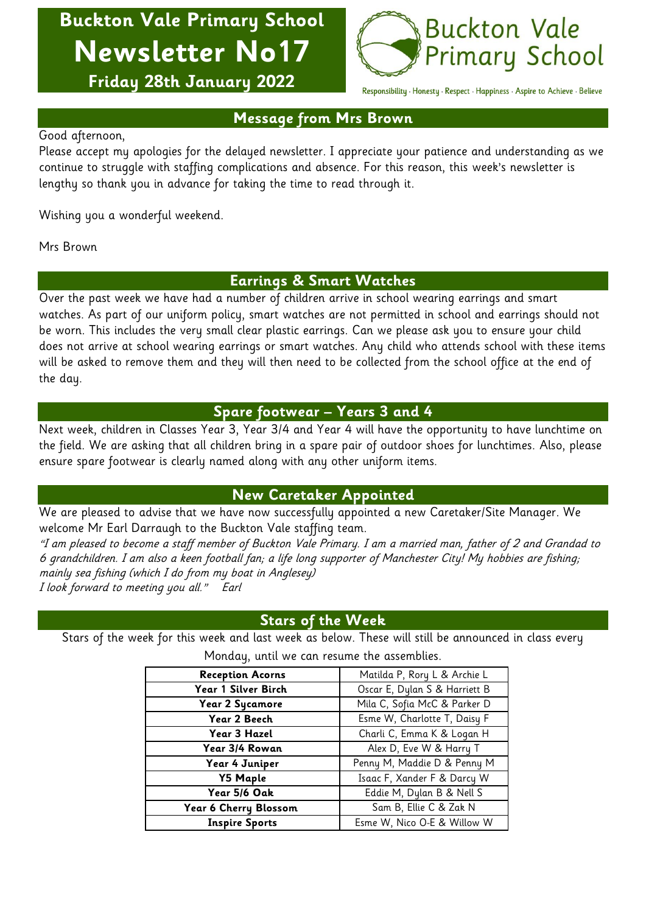# **Buckton Vale Primary School Newsletter No17**

**Friday 28th January 2022**



Responsibility · Honesty · Respect · Happiness · Aspire to Achieve · Believe

**Message from Mrs Brown**

## Good afternoon,

Please accept my apologies for the delayed newsletter. I appreciate your patience and understanding as we continue to struggle with staffing complications and absence. For this reason, this week's newsletter is lengthy so thank you in advance for taking the time to read through it.

Wishing you a wonderful weekend.

Mrs Brown

## **Earrings & Smart Watches**

Over the past week we have had a number of children arrive in school wearing earrings and smart watches. As part of our uniform policy, smart watches are not permitted in school and earrings should not be worn. This includes the very small clear plastic earrings. Can we please ask you to ensure your child does not arrive at school wearing earrings or smart watches. Any child who attends school with these items will be asked to remove them and they will then need to be collected from the school office at the end of the day.

## **Spare footwear – Years 3 and 4**

Next week, children in Classes Year 3, Year 3/4 and Year 4 will have the opportunity to have lunchtime on the field. We are asking that all children bring in a spare pair of outdoor shoes for lunchtimes. Also, please ensure spare footwear is clearly named along with any other uniform items.

## **New Caretaker Appointed**

We are pleased to advise that we have now successfully appointed a new Caretaker/Site Manager. We welcome Mr Earl Darraugh to the Buckton Vale staffing team.

"I am pleased to become a staff member of Buckton Vale Primary. I am a married man, father of 2 and Grandad to 6 grandchildren. I am also a keen football fan; a life long supporter of Manchester City! My hobbies are fishing; mainly sea fishing (which I do from my boat in Anglesey)

I look forward to meeting you all." Earl

## **Stars of the Week**

Stars of the week for this week and last week as below. These will still be announced in class every Monday, until we can resume the assemblies.

| <b>Reception Acorns</b> | Matilda P, Rory L & Archie L  |
|-------------------------|-------------------------------|
| Year 1 Silver Birch     | Oscar E, Dylan S & Harriett B |
| Year 2 Sycamore         | Mila C, Sofia McC & Parker D  |
| Year 2 Beech            | Esme W, Charlotte T, Daisy F  |
| Year 3 Hazel            | Charli C, Emma K & Logan H    |
| Year 3/4 Rowan          | Alex D, Eve W & Harry T       |
| Year 4 Juniper          | Penny M, Maddie D & Penny M   |
| <b>Y5 Maple</b>         | Isaac F, Xander F & Darcy W   |
| Year 5/6 Oak            | Eddie M, Dylan B & Nell S     |
| Year 6 Cherry Blossom   | Sam B, Ellie C & Zak N        |
| <b>Inspire Sports</b>   | Esme W, Nico O-E & Willow W   |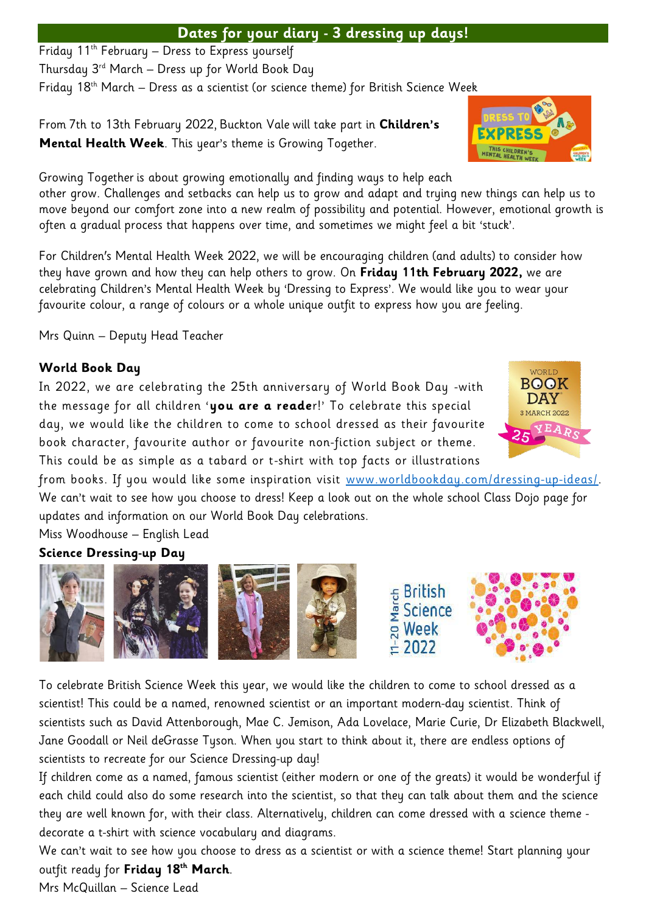## **Dates for your diary - 3 dressing up days!**

Friday 11th February – Dress to Express yourself Thursday  $3^{rd}$  March – Dress up for World Book Day Friday  $18<sup>th</sup>$  March – Dress as a scientist (or science theme) for British Science Week

From 7th to 13th February 2022, Buckton Vale will take part in **Children's Mental Health Week**. This year's theme is Growing Together.

Growing Together is about growing emotionally and finding ways to help each other grow. Challenges and setbacks can help us to grow and adapt and trying new things can help us to move beyond our comfort zone into a new realm of possibility and potential. However, emotional growth is often a gradual process that happens over time, and sometimes we might feel a bit 'stuck'.

For Children's Mental Health Week 2022, we will be encouraging children (and adults) to consider how they have grown and how they can help others to grow. On **Friday 11th February 2022,** we are celebrating Children's Mental Health Week by 'Dressing to Express'. We would like you to wear your favourite colour, a range of colours or a whole unique outfit to express how you are feeling.

Mrs Quinn – Deputy Head Teacher

## **World Book Day**

In 2022, we are celebrating the 25th anniversary of World Book Day -with the message for all children '**you are a reade**r!' To celebrate this special day, we would like the children to come to school dressed as their favourite book character, favourite author or favourite non-fiction subject or theme. This could be as simple as a tabard or t-shirt with top facts or illustrations

from books. If you would like some inspiration visit [www.worldbookday.com/dressing-up-ideas/.](http://www.worldbookday.com/dressing-up-ideas/) We can't wait to see how you choose to dress! Keep a look out on the whole school Class Dojo page for updates and information on our World Book Day celebrations.

Miss Woodhouse – English Lead

## **Science Dressing-up Day**

To celebrate British Science Week this year, we would like the children to come to school dressed as a scientist! This could be a named, renowned scientist or an important modern-day scientist. Think of scientists such as David Attenborough, Mae C. Jemison, Ada Lovelace, Marie Curie, Dr Elizabeth Blackwell, Jane Goodall or Neil deGrasse Tyson. When you start to think about it, there are endless options of scientists to recreate for our Science Dressing-up day!

If children come as a named, famous scientist (either modern or one of the greats) it would be wonderful if each child could also do some research into the scientist, so that they can talk about them and the science they are well known for, with their class. Alternatively, children can come dressed with a science theme decorate a t-shirt with science vocabulary and diagrams.

We can't wait to see how you choose to dress as a scientist or with a science theme! Start planning your outfit ready for **Friday 18th March**.

Mrs McQuillan – Science Lead







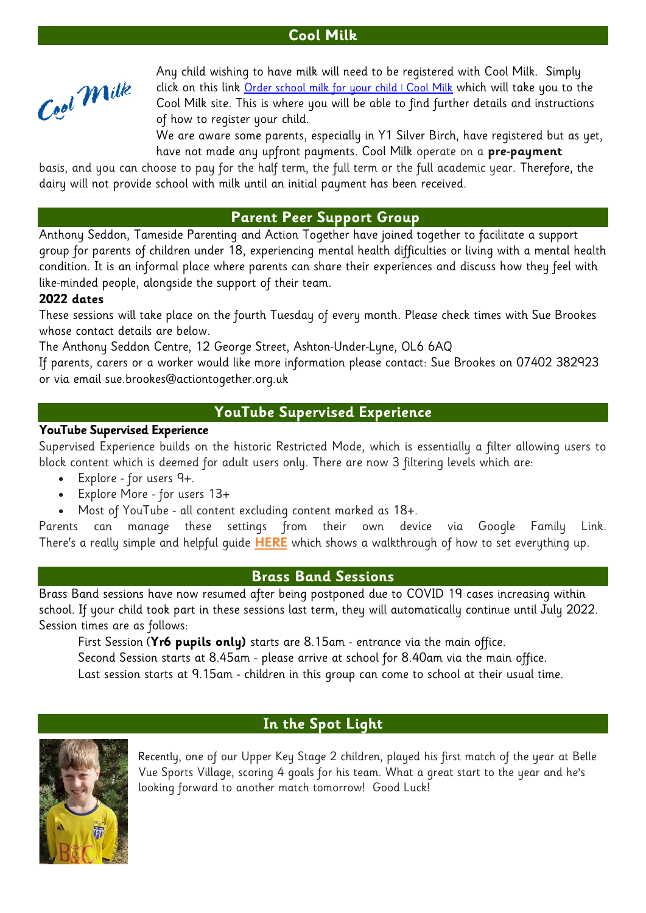# **Cool Milk**



Any child wishing to have milk will need to be registered with Cool Milk. Simply click on this link [Order school milk for your child | Cool Milk](https://www.coolmilk.com/parents/) which will take you to the Cool Milk site. This is where you will be able to find further details and instructions of how to register your child.

We are aware some parents, especially in Y1 Silver Birch, have registered but as yet, have not made any upfront payments. Cool Milk operate on a **pre-payment**

basis, and you can choose to pay for the half term, the full term or the full academic year. Therefore, the dairy will not provide school with milk until an initial payment has been received.

## **Parent Peer Support Group**

Anthony Seddon, Tameside Parenting and Action Together have joined together to facilitate a support group for parents of children under 18, experiencing mental health difficulties or living with a mental health condition. It is an informal place where parents can share their experiences and discuss how they feel with like-minded people, alongside the support of their team.

## **2022 dates**

These sessions will take place on the fourth Tuesday of every month. Please check times with Sue Brookes whose contact details are below.

The Anthony Seddon Centre, 12 George Street, Ashton-Under-Lyne, OL6 6AQ

If parents, carers or a worker would like more information please contact: Sue Brookes on 07402 382923 or via email sue.brookes@actiontogether.org.uk

## **YouTube Supervised Experience**

## **YouTube Supervised Experience**

Supervised Experience builds on the historic Restricted Mode, which is essentially a filter allowing users to block content which is deemed for adult users only. There are now 3 filtering levels which are:

- Explore for users 9+.
- Explore More for users 13+
- Most of YouTube all content excluding content marked as 18+.

Parents can manage these settings from their own device via Google Family Link. There's a really simple and helpful guide **[HERE](https://esafety-adviser.us4.list-manage.com/track/click?u=cbd59b76f0e1ad9db768db345&id=e441a1a9cc&e=bb3da2c3ee)** which shows a walkthrough of how to set everything up.

## **Brass Band Sessions**

Brass Band sessions have now resumed after being postponed due to COVID 19 cases increasing within school. If your child took part in these sessions last term, they will automatically continue until July 2022. Session times are as follows:

First Session (**Yr6 pupils only)** starts are 8.15am - entrance via the main office. Second Session starts at 8.45am - please arrive at school for 8.40am via the main office. Last session starts at 9.15am - children in this group can come to school at their usual time.

## **In the Spot Light**



Recently, one of our Upper Key Stage 2 children, played his first match of the year at Belle Vue Sports Village, scoring 4 goals for his team. What a great start to the year and he's looking forward to another match tomorrow! Good Luck!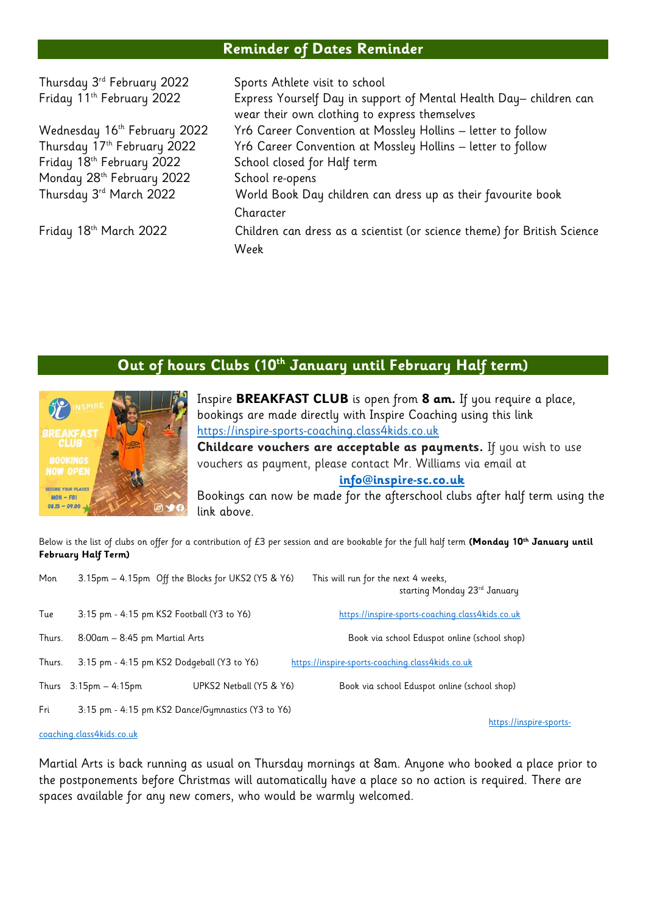## **Reminder of Dates Reminder**

| Thursday 3rd February 2022            | Sports Athlete visit to school                                                                                     |
|---------------------------------------|--------------------------------------------------------------------------------------------------------------------|
| Friday 11 <sup>th</sup> February 2022 | Express Yourself Day in support of Mental Health Day-children can<br>wear their own clothing to express themselves |
| Wednesday 16th February 2022          | Yr6 Career Convention at Mossley Hollins - letter to follow                                                        |
| Thursday 17th February 2022           | Yr6 Career Convention at Mossley Hollins - letter to follow                                                        |
| Friday 18th February 2022             | School closed for Half term                                                                                        |
| Monday 28th February 2022             | School re-opens                                                                                                    |
| Thursday 3rd March 2022               | World Book Day children can dress up as their favourite book                                                       |
|                                       | Character                                                                                                          |
| Friday 18th March 2022                | Children can dress as a scientist (or science theme) for British Science                                           |
|                                       | Week                                                                                                               |
|                                       |                                                                                                                    |

## **Out of hours Clubs (10th January until February Half term)**



Inspire **BREAKFAST CLUB** is open from **8 am.** If you require a place, bookings are made directly with Inspire Coaching using this link [https://inspire-sports-coaching.class4kids.co.uk](https://inspire-sports-coaching.class4kids.co.uk/) **Childcare vouchers are acceptable as payments.** If you wish to use

vouchers as payment, please contact Mr. Williams via email at

**[info@inspire-sc.co.uk](mailto:info@inspire-sc.co.uk)**

Bookings can now be made for the afterschool clubs after half term using the link above.

Below is the list of clubs on offer for a contribution of £3 per session and are bookable for the full half term **(Monday 10th January until February Half Term)**

| Mon    |                                            | 3.15pm - 4.15pm Off the Blocks for UKS2 (Y5 & Y6) | This will run for the next 4 weeks,<br>starting Monday 23rd January |
|--------|--------------------------------------------|---------------------------------------------------|---------------------------------------------------------------------|
| Tue    | 3:15 pm - 4:15 pm KS2 Football (Y3 to Y6)  |                                                   | https://inspire-sports-coaching.class4kids.co.uk                    |
| Thurs. | 8:00am – 8:45 pm Martial Arts              |                                                   | Book via school Eduspot online (school shop)                        |
| Thurs. | 3:15 pm - 4:15 pm KS2 Dodgeball (Y3 to Y6) |                                                   | https://inspire-sports-coaching.class4kids.co.uk                    |
|        | Thurs $3:15 \text{pm} - 4:15 \text{pm}$    | UPKS2 Netball (Y5 & Y6)                           | Book via school Eduspot online (school shop)                        |
| Fri    |                                            | 3:15 pm - 4:15 pm KS2 Dance/Gymnastics (Y3 to Y6) | https://inspire-sports-                                             |

#### [coaching.class4kids.co.uk](https://inspire-sports-coaching.class4kids.co.uk/)

Martial Arts is back running as usual on Thursday mornings at 8am. Anyone who booked a place prior to the postponements before Christmas will automatically have a place so no action is required. There are spaces available for any new comers, who would be warmly welcomed.